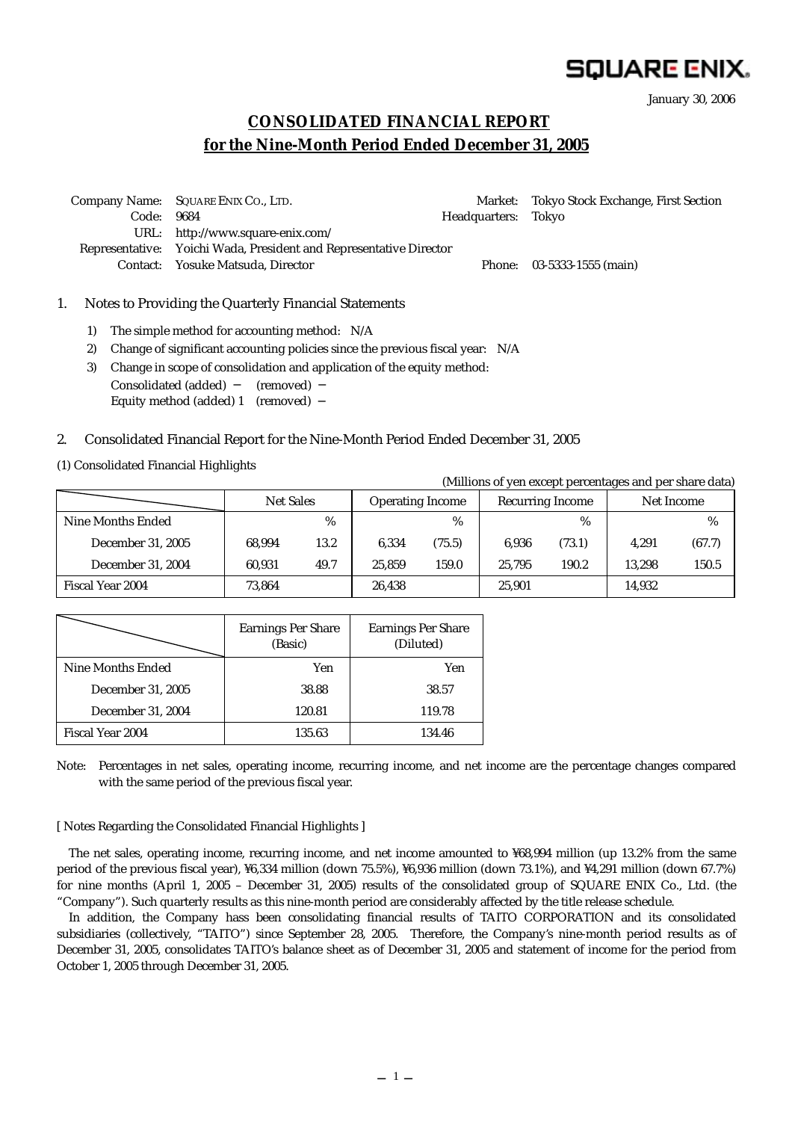# SQUARE ENIX.

(Millions of yen except percentages and per share data)

January 30, 2006

## **CONSOLIDATED FINANCIAL REPORT for the Nine-Month Period Ended December 31, 2005**

 Company Name: SQUARE ENIX CO., LTD. Market: Tokyo Stock Exchange, First Section Code: 9684 **Headquarters: Tokyo**  URL: http://www.square-enix.com/ Representative: Yoichi Wada, President and Representative Director Contact: Yosuke Matsuda, Director Phone: 03-5333-1555 (main)

#### 1. Notes to Providing the Quarterly Financial Statements

- 1) The simple method for accounting method: N/A
- 2) Change of significant accounting policies since the previous fiscal year: N/A
- 3) Change in scope of consolidation and application of the equity method: Consolidated (added) (removed) Equity method (added) 1 (removed)

#### 2. Consolidated Financial Report for the Nine-Month Period Ended December 31, 2005

(1) Consolidated Financial Highlights

|                   | (Millions of you except percentages and per share data) |      |                         |        |                         |               |            |        |
|-------------------|---------------------------------------------------------|------|-------------------------|--------|-------------------------|---------------|------------|--------|
|                   | <b>Net Sales</b>                                        |      | <b>Operating Income</b> |        | <b>Recurring Income</b> |               | Net Income |        |
| Nine Months Ended |                                                         | %    |                         | $\%$   |                         | $\frac{0}{0}$ |            | %      |
| December 31, 2005 | 68.994                                                  | 13.2 | 6.334                   | (75.5) | 6.936                   | (73.1)        | 4.291      | (67.7) |
| December 31, 2004 | 60.931                                                  | 49.7 | 25.859                  | 159.0  | 25.795                  | 190.2         | 13.298     | 150.5  |
| Fiscal Year 2004  | 73.864                                                  |      | 26,438                  |        | 25.901                  |               | 14,932     |        |

|                   | <b>Earnings Per Share</b><br>(Basic) | <b>Earnings Per Share</b><br>(Diluted) |
|-------------------|--------------------------------------|----------------------------------------|
| Nine Months Ended | Yen                                  | Yen                                    |
| December 31, 2005 | 38.88                                | 38.57                                  |
| December 31, 2004 | 120.81                               | 119.78                                 |
| Fiscal Year 2004  | 135.63                               | 134.46                                 |

Note: Percentages in net sales, operating income, recurring income, and net income are the percentage changes compared with the same period of the previous fiscal year.

#### [ Notes Regarding the Consolidated Financial Highlights ]

The net sales, operating income, recurring income, and net income amounted to ¥68,994 million (up 13.2% from the same period of the previous fiscal year), ¥6,334 million (down 75.5%), ¥6,936 million (down 73.1%), and ¥4,291 million (down 67.7%) for nine months (April 1, 2005 – December 31, 2005) results of the consolidated group of SQUARE ENIX Co., Ltd. (the "Company"). Such quarterly results as this nine-month period are considerably affected by the title release schedule.

In addition, the Company hass been consolidating financial results of TAITO CORPORATION and its consolidated subsidiaries (collectively, "TAITO") since September 28, 2005. Therefore, the Company's nine-month period results as of December 31, 2005, consolidates TAITO's balance sheet as of December 31, 2005 and statement of income for the period from October 1, 2005 through December 31, 2005.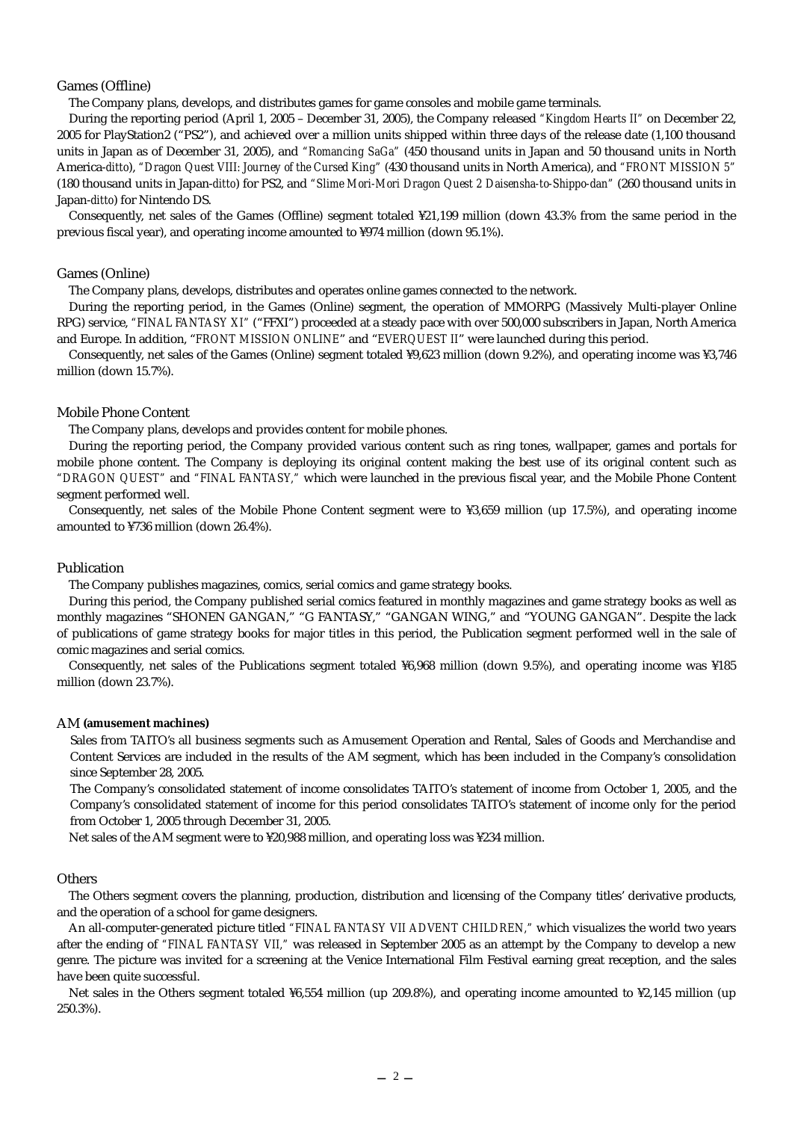#### Games (Offline)

The Company plans, develops, and distributes games for game consoles and mobile game terminals.

During the reporting period (April 1, 2005 – December 31, 2005), the Company released *"Kingdom Hearts II"* on December 22, 2005 for PlayStation2 ("PS2"), and achieved over a million units shipped within three days of the release date (1,100 thousand units in Japan as of December 31, 2005), and *"Romancing SaGa"* (450 thousand units in Japan and 50 thousand units in North America-*ditto*), *"Dragon Quest VIII: Journey of the Cursed King"* (430 thousand units in North America), and *"FRONT MISSION 5"* (180 thousand units in Japan-*ditto*) for PS2, and *"Slime Mori-Mori Dragon Quest 2 Daisensha-to-Shippo-dan"* (260 thousand units in Japan-*ditto*) for Nintendo DS.

Consequently, net sales of the Games (Offline) segment totaled ¥21,199 million (down 43.3% from the same period in the previous fiscal year), and operating income amounted to ¥974 million (down 95.1%).

#### Games (Online)

The Company plans, develops, distributes and operates online games connected to the network.

During the reporting period, in the Games (Online) segment, the operation of MMORPG (Massively Multi-player Online RPG) service, *"FINAL FANTASY XI"* ("FFXI") proceeded at a steady pace with over 500,000 subscribers in Japan, North America and Europe. In addition, "*FRONT MISSION ONLINE*" and "*EVERQUEST II*" were launched during this period.

Consequently, net sales of the Games (Online) segment totaled ¥9,623 million (down 9.2%), and operating income was ¥3,746 million (down 15.7%).

#### Mobile Phone Content

The Company plans, develops and provides content for mobile phones.

During the reporting period, the Company provided various content such as ring tones, wallpaper, games and portals for mobile phone content. The Company is deploying its original content making the best use of its original content such as *"DRAGON QUEST"* and *"FINAL FANTASY,"* which were launched in the previous fiscal year, and the Mobile Phone Content segment performed well.

Consequently, net sales of the Mobile Phone Content segment were to ¥3,659 million (up 17.5%), and operating income amounted to ¥736 million (down 26.4%).

#### Publication

The Company publishes magazines, comics, serial comics and game strategy books.

During this period, the Company published serial comics featured in monthly magazines and game strategy books as well as monthly magazines "SHONEN GANGAN," "G FANTASY," "GANGAN WING," and "YOUNG GANGAN". Despite the lack of publications of game strategy books for major titles in this period, the Publication segment performed well in the sale of comic magazines and serial comics.

Consequently, net sales of the Publications segment totaled ¥6,968 million (down 9.5%), and operating income was ¥185 million (down 23.7%).

#### AM **(amusement machines)**

Sales from TAITO's all business segments such as Amusement Operation and Rental, Sales of Goods and Merchandise and Content Services are included in the results of the AM segment, which has been included in the Company's consolidation since September 28, 2005.

The Company's consolidated statement of income consolidates TAITO's statement of income from October 1, 2005, and the Company's consolidated statement of income for this period consolidates TAITO's statement of income only for the period from October 1, 2005 through December 31, 2005.

Net sales of the AM segment were to ¥20,988 million, and operating loss was ¥234 million.

#### **Others**

The Others segment covers the planning, production, distribution and licensing of the Company titles' derivative products, and the operation of a school for game designers.

An all-computer-generated picture titled *"FINAL FANTASY VII ADVENT CHILDREN,"* which visualizes the world two years after the ending of *"FINAL FANTASY VII,"* was released in September 2005 as an attempt by the Company to develop a new genre. The picture was invited for a screening at the Venice International Film Festival earning great reception, and the sales have been quite successful.

Net sales in the Others segment totaled ¥6,554 million (up 209.8%), and operating income amounted to ¥2,145 million (up 250.3%).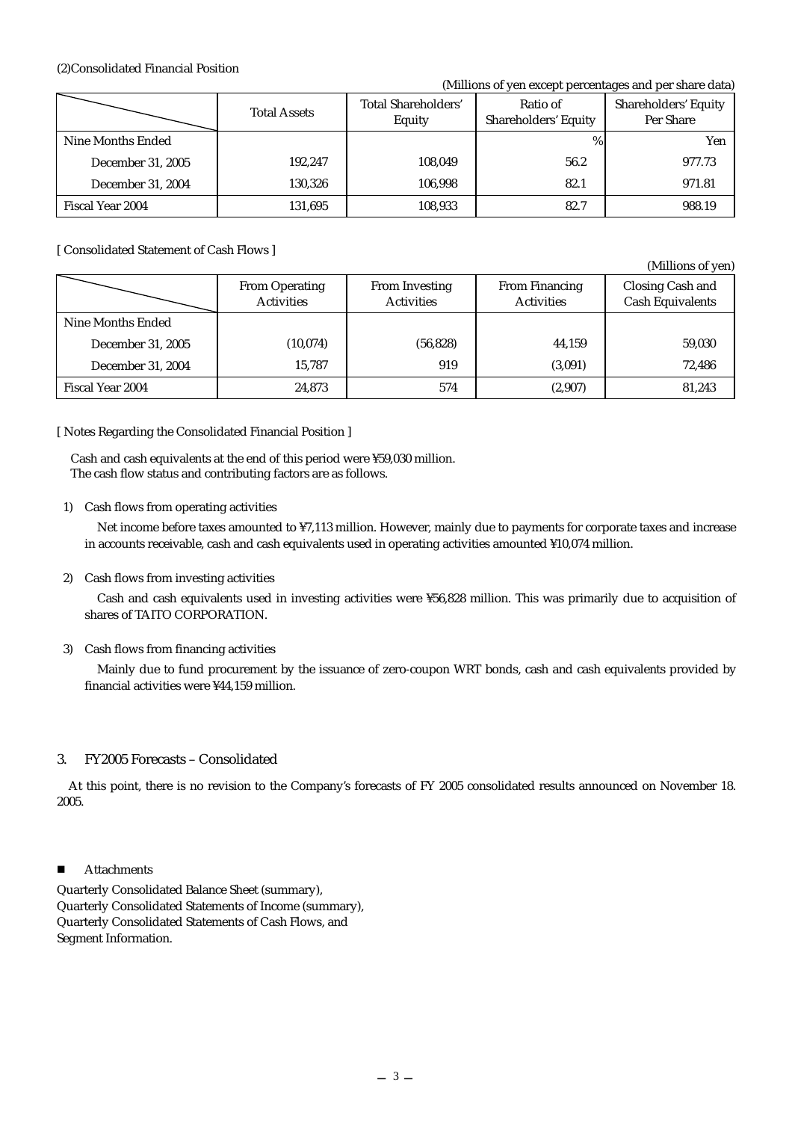#### (2)Consolidated Financial Position

#### (Millions of yen except percentages and per share data)

|                   | <b>Total Assets</b> | <b>Total Shareholders'</b><br>Equity | Ratio of<br><b>Shareholders' Equity</b> | Shareholders' Equity<br>Per Share |
|-------------------|---------------------|--------------------------------------|-----------------------------------------|-----------------------------------|
| Nine Months Ended |                     |                                      | %                                       | Yen                               |
| December 31, 2005 | 192,247             | 108,049                              | 56.2                                    | 977.73                            |
| December 31, 2004 | 130.326             | 106.998                              | 82.1                                    | 971.81                            |
| Fiscal Year 2004  | 131,695             | 108,933                              | 82.7                                    | 988.19                            |

#### [ Consolidated Statement of Cash Flows ]

(Millions of yen) From Operating Activities From Investing Activities From Financing Activities Closing Cash and Cash Equivalents Nine Months Ended December 31, 2005 (10,074) (10,074) (56,828) 44,159 (59,030 December 31, 2004 15,787 919 (3,091) 72,486 Fiscal Year 2004 24,873 574 (2,907) 81,243

#### [ Notes Regarding the Consolidated Financial Position ]

 Cash and cash equivalents at the end of this period were ¥59,030 million. The cash flow status and contributing factors are as follows.

#### 1) Cash flows from operating activities

Net income before taxes amounted to ¥7,113 million. However, mainly due to payments for corporate taxes and increase in accounts receivable, cash and cash equivalents used in operating activities amounted ¥10,074 million.

#### 2) Cash flows from investing activities

Cash and cash equivalents used in investing activities were ¥56,828 million. This was primarily due to acquisition of shares of TAITO CORPORATION.

#### 3) Cash flows from financing activities

Mainly due to fund procurement by the issuance of zero-coupon WRT bonds, cash and cash equivalents provided by financial activities were ¥44,159 million.

#### 3. FY2005 Forecasts – Consolidated

At this point, there is no revision to the Company's forecasts of FY 2005 consolidated results announced on November 18. 2005.

#### ■ Attachments

Quarterly Consolidated Balance Sheet (summary), Quarterly Consolidated Statements of Income (summary), Quarterly Consolidated Statements of Cash Flows, and Segment Information.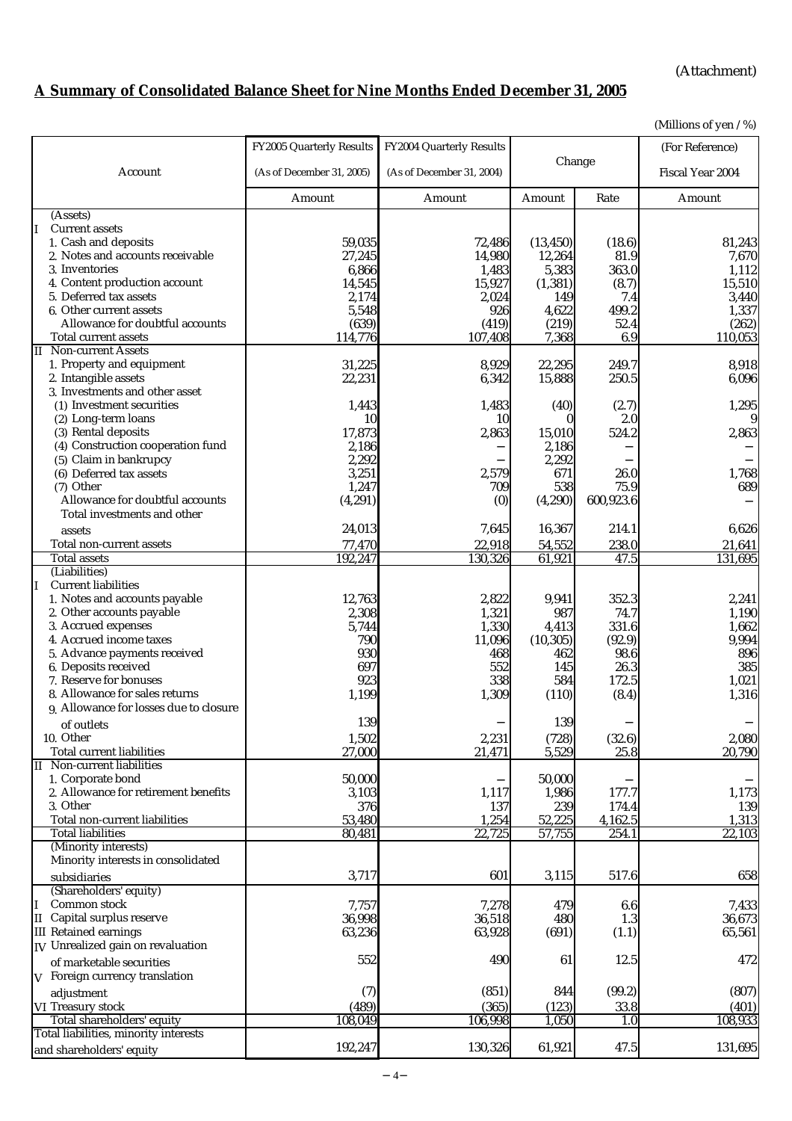(Attachment)

# **A Summary of Consolidated Balance Sheet for Nine Months Ended December 31, 2005**

(Millions of yen / %)

|                                        | FY2005 Quarterly Results  | FY2004 Quarterly Results  |           |           | (For Reference)  |
|----------------------------------------|---------------------------|---------------------------|-----------|-----------|------------------|
| Account                                | (As of December 31, 2005) | (As of December 31, 2004) | Change    |           | Fiscal Year 2004 |
|                                        |                           |                           |           |           |                  |
|                                        | Amount                    | Amount                    | Amount    | Rate      | Amount           |
| (Assets)                               |                           |                           |           |           |                  |
| <b>Current assets</b>                  |                           |                           |           |           |                  |
| 1. Cash and deposits                   | 59,035                    | 72,486                    | (13, 450) | (18.6)    | 81,243           |
| 2. Notes and accounts receivable       | 27,245                    | 14,980                    | 12,264    | 81.9      | 7,670            |
| 3. Inventories                         | 6,866                     | 1,483                     | 5,383     | 363.0     | 1,112            |
| 4. Content production account          | 14,545                    | 15,927                    | (1, 381)  | (8.7)     | 15,510           |
| 5. Deferred tax assets                 | 2,174                     | 2,024                     | 149       | 7.4       | 3,440            |
| 6. Other current assets                | 5,548                     | 926                       | 4,622     | 499.2     | 1,337            |
| Allowance for doubtful accounts        | (639)                     | (419)                     | (219)     | 52.4      | (262)            |
| Total current assets                   | 114,776                   | 107,408                   | 7,368     | 6.9       | 110,053          |
| <b>II</b> Non-current Assets           |                           |                           |           |           |                  |
| 1. Property and equipment              | 31,225                    | 8,929                     | 22,295    | 249.7     | 8,918            |
| 2. Intangible assets                   | 22,231                    | 6,342                     | 15,888    | 250.5     | 6,096            |
| 3. Investments and other asset         |                           |                           |           |           |                  |
| (1) Investment securities              |                           |                           |           |           |                  |
|                                        | 1,443                     | 1,483                     | (40)      | (2.7)     | 1,295            |
| (2) Long-term loans                    | 10                        | 10                        | $\Omega$  | 2.0       | 9                |
| (3) Rental deposits                    | 17,873                    | 2,863                     | 15,010    | 524.2     | 2,863            |
| (4) Construction cooperation fund      | 2,186                     |                           | 2,186     |           |                  |
| (5) Claim in bankrupcy                 | 2,292                     |                           | 2,292     |           |                  |
| (6) Deferred tax assets                | 3,251                     | 2,579                     | 671       | 26.0      | 1,768            |
| (7) Other                              | 1,247                     | 709                       | 538       | 75.9      | 689              |
| Allowance for doubtful accounts        | (4, 291)                  | (0)                       | (4, 290)  | 600,923.6 |                  |
| Total investments and other            |                           |                           |           |           |                  |
| assets                                 | 24,013                    | 7,645                     | 16,367    | 214.1     | 6,626            |
| Total non-current assets               | 77,470                    | 22,918                    | 54,552    | 238.0     | 21,641           |
| <b>Total assets</b>                    | 192,247                   | 130,326                   | 61,921    | 47.5      | 131,695          |
| (Liabilities)                          |                           |                           |           |           |                  |
| <b>Current liabilities</b>             |                           |                           |           |           |                  |
| 1. Notes and accounts payable          | 12,763                    | 2,822                     | 9,941     | 352.3     | 2,241            |
| 2. Other accounts payable              | 2,308                     | 1,321                     | 987       | 74.7      | 1,190            |
| 3. Accrued expenses                    | 5,744                     | 1,330                     | 4,413     | 331.6     | 1,662            |
| 4. Accrued income taxes                | 790                       | 11,096                    | (10, 305) | (92.9)    | 9,994            |
| 5. Advance payments received           | 930                       | 468                       | 462       | 98.6      | 896              |
| 6. Deposits received                   | 697                       | 552                       | 145       | 26.3      | 385              |
| 7. Reserve for bonuses                 | 923                       | 338                       | 584       | 172.5     | 1,021            |
| 8. Allowance for sales returns         | 1,199                     | 1,309                     | (110)     | (8.4)     | 1,316            |
| 9. Allowance for losses due to closure |                           |                           |           |           |                  |
|                                        | 139                       |                           | 139       |           |                  |
| of outlets                             |                           |                           |           |           |                  |
| 10. Other                              | 1,502                     | 2,231                     | (728)     | (32.6)    | 2,080            |
| Total current liabilities              | 27,000                    | 21,471                    | 5,529     | 25.8      | 20,790           |
| II Non-current liabilities             |                           |                           |           |           |                  |
| 1. Corporate bond                      | 50,000                    |                           | 50,000    |           |                  |
| 2. Allowance for retirement benefits   | 3,103                     | 1,117                     | 1,986     | 177.7     | 1,173            |
| 3. Other                               | 376                       | 137                       | 239       | 174.4     | 139              |
| Total non-current liabilities          | 53,480                    | 1,254                     | 52,225    | 4,162.5   | 1,313            |
| <b>Total liabilities</b>               | 80,481                    | 22,725                    | 57,755    | 254.1     | 22,103           |
| (Minority interests)                   |                           |                           |           |           |                  |
| Minority interests in consolidated     |                           |                           |           |           |                  |
| subsidiaries                           | 3,717                     | 601                       | 3,115     | 517.6     | 658              |
| (Shareholders' equity)                 |                           |                           |           |           |                  |
| Common stock                           | 7,757                     | 7,278                     | 479       | 6.6       | 7,433            |
| Capital surplus reserve<br>II          | 36,998                    | 36,518                    | 480       | 1.3       | 36,673           |
| <b>III</b> Retained earnings           | 63,236                    | 63,928                    | (691)     | (1.1)     | 65,561           |
| IV Unrealized gain on revaluation      |                           |                           |           |           |                  |
|                                        | 552                       | 490                       | 61        | 12.5      | 472              |
| of marketable securities               |                           |                           |           |           |                  |
| V Foreign currency translation         |                           |                           |           |           |                  |
| adjustment                             | (7)                       | (851)                     | 844       | (99.2)    | (807)            |
| VI Treasury stock                      | (489)                     | (365)                     | (123)     | 33.8      | (401)            |
| Total shareholders' equity             | 108,049                   | 106,998                   | 1,050     | 1.0       | 108,933          |
| Total liabilities, minority interests  |                           |                           |           |           |                  |
| and shareholders' equity               | 192,247                   | 130,326                   | 61,921    | 47.5      | 131,695          |
|                                        |                           |                           |           |           |                  |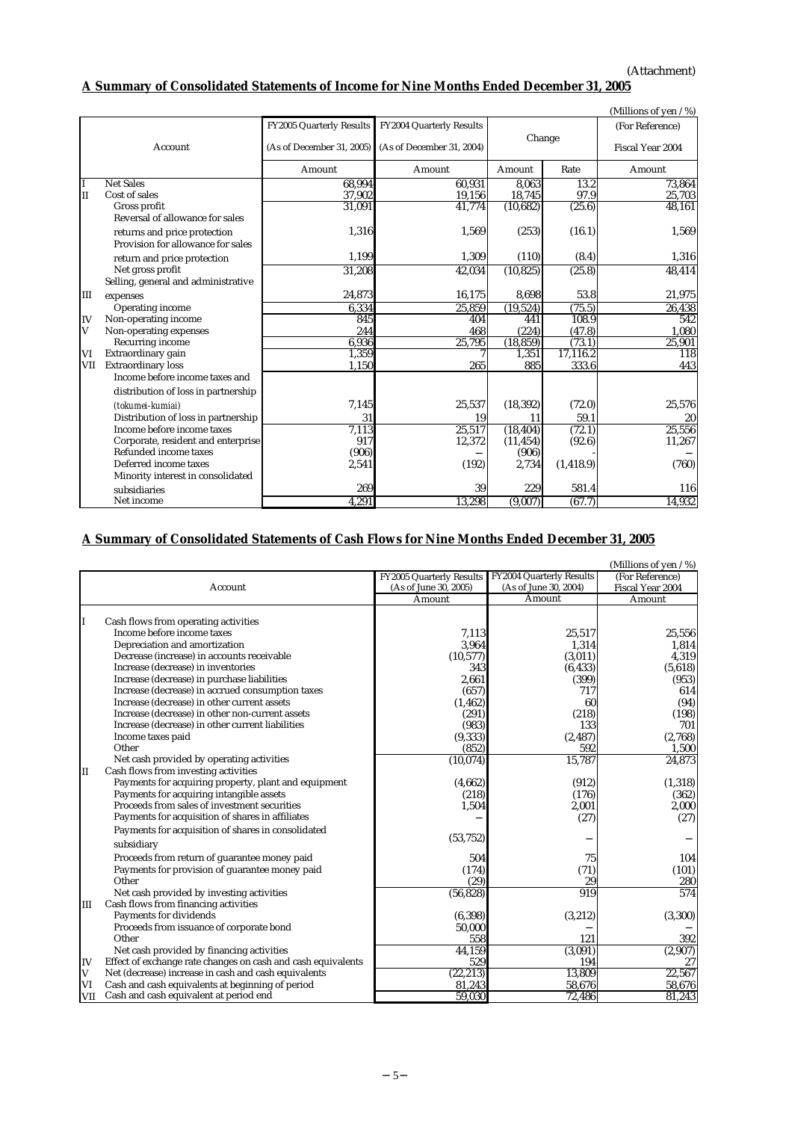## **A Summary of Consolidated Statements of Income for Nine Months Ended December 31, 2005**

|              |                                                                   |                           |                           |           |            | (Millions of yen / %) |
|--------------|-------------------------------------------------------------------|---------------------------|---------------------------|-----------|------------|-----------------------|
|              |                                                                   | FY2005 Quarterly Results  | FY2004 Quarterly Results  |           |            | (For Reference)       |
|              | Account                                                           | (As of December 31, 2005) | (As of December 31, 2004) | Change    |            | Fiscal Year 2004      |
|              |                                                                   | Amount                    | Amount                    | Amount    | Rate       | Amount                |
|              | <b>Net Sales</b>                                                  | 68.994                    | 60.931                    | 8.063     | 13.2       | 73.864                |
| $\mathbf{I}$ | Cost of sales                                                     | 37,902                    | 19,156                    | 18,745    | 97.9       | 25,703                |
|              | Gross profit<br>Reversal of allowance for sales                   | 31,091                    | 41,774                    | (10, 682) | (25.6)     | 48,161                |
|              | returns and price protection<br>Provision for allowance for sales | 1,316                     | 1,569                     | (253)     | (16.1)     | 1,569                 |
|              | return and price protection                                       | 1,199                     | 1.309                     | (110)     | (8.4)      | 1,316                 |
|              | Net gross profit                                                  | 31.208                    | 42,034                    | (10, 825) | (25.8)     | 48.414                |
|              | Selling, general and administrative                               |                           |                           |           |            |                       |
| III          | expenses                                                          | 24,873                    | 16,175                    | 8,698     | 53.8       | 21,975                |
|              | Operating income                                                  | 6,334                     | 25,859                    | (19, 524) | (75.5)     | 26,438                |
| IV           | Non-operating income                                              | 845                       | 404                       | 441       | 108.9      | 542                   |
| V            | Non-operating expenses                                            | 244                       | 468                       | (224)     | (47.8)     | 1,080                 |
|              | Recurring income                                                  | 6,936                     | 25,795                    | (18, 859) | (73.1)     | 25,901                |
| VI           | Extraordinary gain                                                | 1,359                     |                           | 1,351     | 17,116.2   | 118                   |
| VII          | <b>Extraordinary loss</b>                                         | 1,150                     | 265                       | 885       | 333.6      | 443                   |
|              | Income before income taxes and                                    |                           |                           |           |            |                       |
|              | distribution of loss in partnership                               |                           |                           |           |            |                       |
|              | (tokumei-kumiai)                                                  | 7,145                     | 25,537                    | (18, 392) | (72.0)     | 25.576                |
|              | Distribution of loss in partnership                               | 31                        | 19                        | 11        | 59.1       | 20                    |
|              | Income before income taxes                                        | 7,113                     | 25,517                    | (18, 404) | (72.1)     | 25,556                |
|              | Corporate, resident and enterprise                                | 917                       | 12,372                    | (11, 454) | (92.6)     | 11,267                |
|              | Refunded income taxes                                             | (906)                     |                           | (906)     |            |                       |
|              | Deferred income taxes                                             | 2,541                     | (192)                     | 2,734     | (1, 418.9) | (760)                 |
|              | Minority interest in consolidated                                 |                           |                           |           |            |                       |
|              | subsidiaries                                                      | 269                       | 39                        | 229       | 581.4      | 116                   |
|              | Net income                                                        | 4,291                     | 13,298                    | (9,007)   | (67.7)     | 14,932                |

### **A Summary of Consolidated Statements of Cash Flows for Nine Months Ended December 31, 2005**

|     |                                                              |                          |                                 | (Millions of yen / %) |
|-----|--------------------------------------------------------------|--------------------------|---------------------------------|-----------------------|
|     |                                                              | FY2005 Quarterly Results | <b>FY2004 Quarterly Results</b> | (For Reference)       |
|     | Account                                                      | (As of June 30, 2005)    | (As of June 30, 2004)           | Fiscal Year 2004      |
|     |                                                              | Amount                   | Amount                          | Amount                |
|     |                                                              |                          |                                 |                       |
|     | Cash flows from operating activities                         |                          |                                 |                       |
|     | Income before income taxes                                   | 7,113                    | 25,517                          | 25,556                |
|     | Depreciation and amortization                                | 3,964                    | 1,314                           | 1,814                 |
|     | Decrease (increase) in accounts receivable                   | (10, 577)                | (3,011)                         | 4,319                 |
|     | Increase (decrease) in inventories                           | 343                      | (6, 433)                        | (5,618)               |
|     | Increase (decrease) in purchase liabilities                  | 2,661                    | (399)                           | (953)                 |
|     | Increase (decrease) in accrued consumption taxes             | (657)                    | 717                             | 614                   |
|     | Increase (decrease) in other current assets                  | (1, 462)                 | 60                              | (94)                  |
|     | Increase (decrease) in other non-current assets              | (291)                    | (218)                           | (198)                 |
|     | Increase (decrease) in other current liabilities             | (983)                    | 133                             | 701                   |
|     | Income taxes paid                                            | (9, 333)                 | (2, 487)                        | (2,768)               |
|     | Other                                                        | (852)                    | 592                             | 1,500                 |
|     | Net cash provided by operating activities                    | (10,074)                 | 15,787                          | 24,873                |
| II  | Cash flows from investing activities                         |                          |                                 |                       |
|     | Payments for acquiring property, plant and equipment         | (4,662)                  | (912)                           | (1,318)               |
|     | Payments for acquiring intangible assets                     | (218)                    | (176)                           | (362)                 |
|     | Proceeds from sales of investment securities                 | 1,504                    | 2,001                           | 2,000                 |
|     | Payments for acquisition of shares in affiliates             |                          | (27)                            | (27)                  |
|     | Payments for acquisition of shares in consolidated           |                          |                                 |                       |
|     | subsidiary                                                   | (53, 752)                |                                 |                       |
|     |                                                              |                          |                                 |                       |
|     | Proceeds from return of guarantee money paid                 | 504                      | 75                              | 104                   |
|     | Payments for provision of guarantee money paid<br>Other      | (174)                    | (71)                            | (101)                 |
|     | Net cash provided by investing activities                    | (29)                     | 29<br>919                       | 280<br>574            |
|     | Cash flows from financing activities                         | (56, 828)                |                                 |                       |
| Ш   |                                                              |                          |                                 |                       |
|     | Payments for dividends                                       | (6, 398)                 | (3,212)                         | (3,300)               |
|     | Proceeds from issuance of corporate bond                     | 50,000                   |                                 |                       |
|     | Other                                                        | 558                      | 121                             | 392                   |
|     | Net cash provided by financing activities                    | 44,159                   | (3,091)                         | (2,907)               |
| IV  | Effect of exchange rate changes on cash and cash equivalents | 529                      | 194                             | 27                    |
| V   | Net (decrease) increase in cash and cash equivalents         | (22, 213)                | 13,809                          | 22,567                |
| VI  | Cash and cash equivalents at beginning of period             | 81,243                   | 58,676                          | 58,676                |
| VII | Cash and cash equivalent at period end                       | 59,030                   | 72,486                          | 81,243                |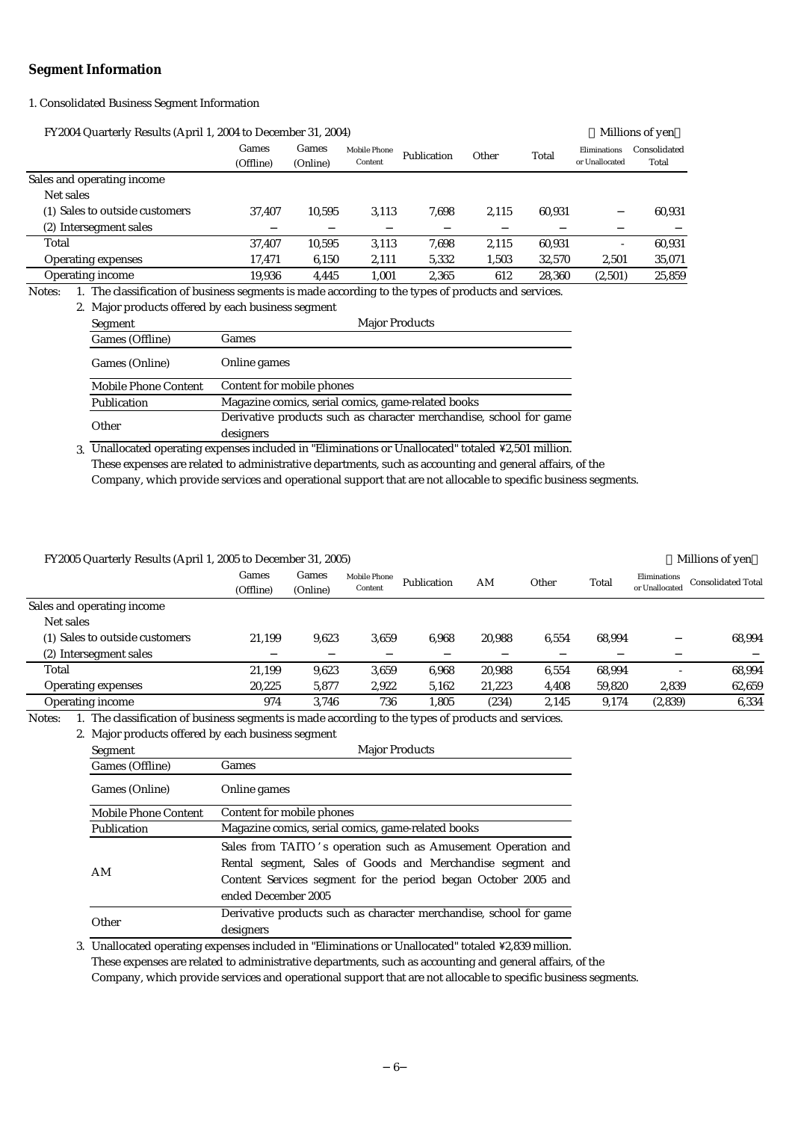#### **Segment Information**

1. Consolidated Business Segment Information

| FY2004 Quarterly Results (April 1, 2004 to December 31, 2004) |                    |                   |                                |             |       |        |                                | Millions of yen       |
|---------------------------------------------------------------|--------------------|-------------------|--------------------------------|-------------|-------|--------|--------------------------------|-----------------------|
|                                                               | Games<br>(Offline) | Games<br>(Online) | <b>Mobile Phone</b><br>Content | Publication | Other | Total  | Eliminations<br>or Unallocated | Consolidated<br>Total |
| Sales and operating income                                    |                    |                   |                                |             |       |        |                                |                       |
| Net sales                                                     |                    |                   |                                |             |       |        |                                |                       |
| (1) Sales to outside customers                                | 37.407             | 10.595            | 3.113                          | 7.698       | 2,115 | 60.931 |                                | 60,931                |
| (2) Intersegment sales                                        |                    |                   |                                |             |       |        |                                |                       |
| Total                                                         | 37,407             | 10.595            | 3.113                          | 7,698       | 2,115 | 60.931 |                                | 60,931                |
| <b>Operating expenses</b>                                     | 17,471             | 6,150             | 2,111                          | 5,332       | 1,503 | 32,570 | 2,501                          | 35,071                |
| <b>Operating income</b>                                       | 19,936             | 4,445             | 1,001                          | 2,365       | 612   | 28,360 | (2,501)                        | 25,859                |
|                                                               |                    |                   |                                |             |       |        |                                |                       |

Notes: 1. The classification of business segments is made according to the types of products and services.

|                      | 2. Major products offered by each business segment                 |
|----------------------|--------------------------------------------------------------------|
| Segment              | <b>Major Products</b>                                              |
| Games (Offline)      | Games                                                              |
| Games (Online)       | Online games                                                       |
| Mobile Phone Content | Content for mobile phones                                          |
| Publication          | Magazine comics, serial comics, game-related books                 |
| Other                | Derivative products such as character merchandise, school for game |
|                      | designers                                                          |

3. Unallocated operating expenses included in "Eliminations or Unallocated" totaled ¥2,501 million. Company, which provide services and operational support that are not allocable to specific business segments. These expenses are related to administrative departments, such as accounting and general affairs, of the

#### FY2005 Quarterly Results (April 1, 2005 to December 31, 2005) Millions of yen

|                                | Games<br>(Offline) | Games<br>(Online) | <b>Mobile Phone</b><br>Content | Publication | AM     | Other | Total  | Eliminations<br>or Unallocated | <b>Consolidated Total</b> |
|--------------------------------|--------------------|-------------------|--------------------------------|-------------|--------|-------|--------|--------------------------------|---------------------------|
| Sales and operating income     |                    |                   |                                |             |        |       |        |                                |                           |
| Net sales                      |                    |                   |                                |             |        |       |        |                                |                           |
| (1) Sales to outside customers | 21.199             | 9.623             | 3.659                          | 6.968       | 20.988 | 6.554 | 68.994 |                                | 68,994                    |
| (2) Intersegment sales         |                    |                   |                                |             |        |       |        |                                |                           |
| Total                          | 21,199             | 9.623             | 3.659                          | 6.968       | 20,988 | 6,554 | 68,994 |                                | 68,994                    |
| <b>Operating expenses</b>      | 20,225             | 5,877             | 2,922                          | 5,162       | 21,223 | 4,408 | 59,820 | 2,839                          | 62,659                    |
| Operating income               | 974                | 3.746             | 736                            | l.805       | (234)  | 2.145 | 9.174  | (2,839)                        | 6.334                     |

Notes: 1. The classification of business segments is made according to the types of products and services.

2. Major products offered by each business segment

| Segment              | <b>Major Products</b>                                                                                                                                                                                               |
|----------------------|---------------------------------------------------------------------------------------------------------------------------------------------------------------------------------------------------------------------|
| Games (Offline)      | Games                                                                                                                                                                                                               |
| Games (Online)       | Online games                                                                                                                                                                                                        |
| Mobile Phone Content | Content for mobile phones                                                                                                                                                                                           |
| Publication          | Magazine comics, serial comics, game-related books                                                                                                                                                                  |
| AM                   | Sales from TAITO's operation such as Amusement Operation and<br>Rental segment, Sales of Goods and Merchandise segment and<br>Content Services segment for the period began October 2005 and<br>ended December 2005 |
| Other                | Derivative products such as character merchandise, school for game<br>designers                                                                                                                                     |

3. Unallocated operating expenses included in "Eliminations or Unallocated" totaled ¥2,839 million. These expenses are related to administrative departments, such as accounting and general affairs, of the Company, which provide services and operational support that are not allocable to specific business segments.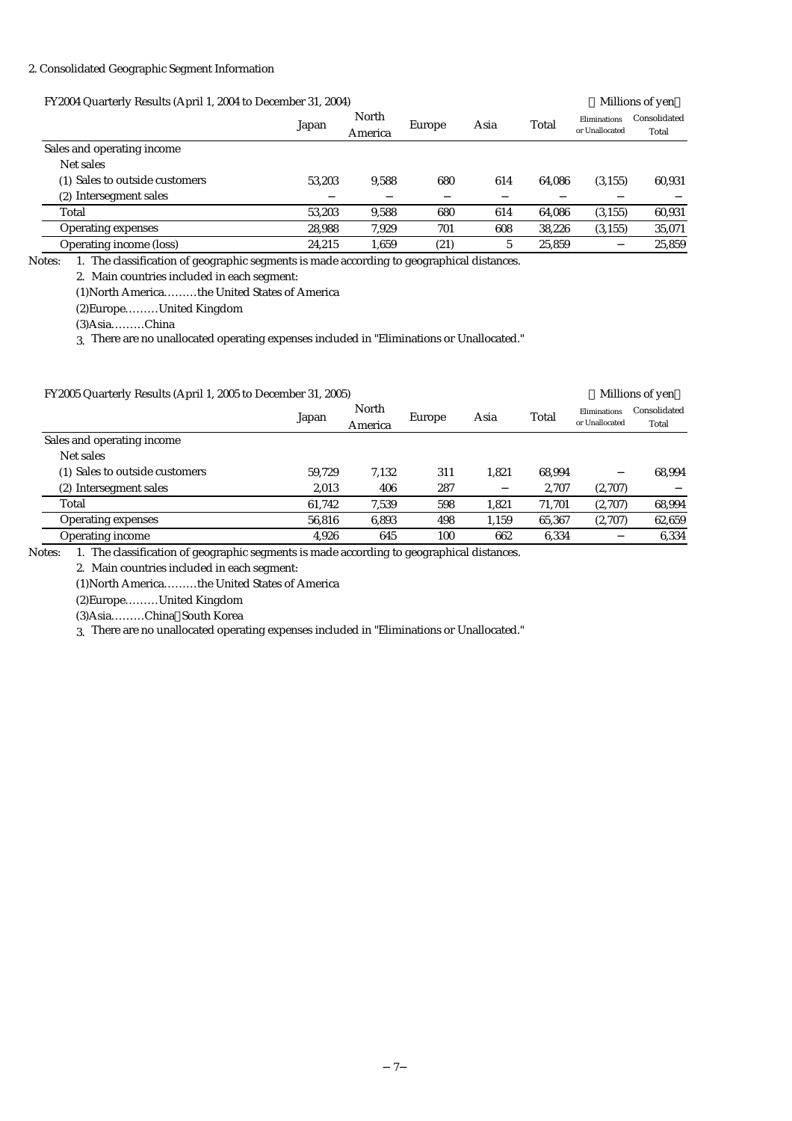#### 2. Consolidated Geographic Segment Information

| FY2004 Quarterly Results (April 1, 2004 to December 31, 2004) |        | Millions of yen  |        |      |        |                                |                       |
|---------------------------------------------------------------|--------|------------------|--------|------|--------|--------------------------------|-----------------------|
|                                                               | Japan  | North<br>America | Europe | Asia | Total  | Eliminations<br>or Unallocated | Consolidated<br>Total |
| Sales and operating income                                    |        |                  |        |      |        |                                |                       |
| Net sales                                                     |        |                  |        |      |        |                                |                       |
| (1) Sales to outside customers                                | 53.203 | 9.588            | 680    | 614  | 64.086 | (3, 155)                       | 60.931                |
| (2) Intersegment sales                                        |        |                  |        |      |        |                                |                       |
| Total                                                         | 53.203 | 9.588            | 680    | 614  | 64.086 | (3, 155)                       | 60,931                |
| Operating expenses                                            | 28.988 | 7.929            | 701    | 608  | 38.226 | (3, 155)                       | 35,071                |
| Operating income (loss)                                       | 24.215 | 1.659            | (21)   | 5    | 25.859 |                                | 25,859                |

Notes: 1. The classification of geographic segments is made according to geographical distances.

2. Main countries included in each segment:

(1)North America………the United States of America

(2)Europe………United Kingdom

(3)Asia………China

3. There are no unallocated operating expenses included in "Eliminations or Unallocated."

| FY2005 Quarterly Results (April 1, 2005 to December 31, 2005) |        |                  |        |       |        |                                | Millions of yen       |  |
|---------------------------------------------------------------|--------|------------------|--------|-------|--------|--------------------------------|-----------------------|--|
|                                                               | Japan  | North<br>America | Europe | Asia  | Total  | Eliminations<br>or Unallocated | Consolidated<br>Total |  |
| Sales and operating income                                    |        |                  |        |       |        |                                |                       |  |
| Net sales                                                     |        |                  |        |       |        |                                |                       |  |
| (1) Sales to outside customers                                | 59.729 | 7.132            | 311    | 1.821 | 68.994 |                                | 68.994                |  |
| (2) Intersegment sales                                        | 2.013  | 406              | 287    |       | 2.707  | (2,707)                        |                       |  |
| Total                                                         | 61.742 | 7.539            | 598    | 1.821 | 71.701 | (2,707)                        | 68,994                |  |
| <b>Operating expenses</b>                                     | 56,816 | 6,893            | 498    | 1,159 | 65,367 | (2,707)                        | 62,659                |  |
| Operating income                                              | 4.926  | 645              | 100    | 662   | 6.334  |                                | 6.334                 |  |

Notes: 1. The classification of geographic segments is made according to geographical distances.

2. Main countries included in each segment:

(1)North America………the United States of America

(2)Europe………United Kingdom

(3)Asia………China South Korea

3. There are no unallocated operating expenses included in "Eliminations or Unallocated."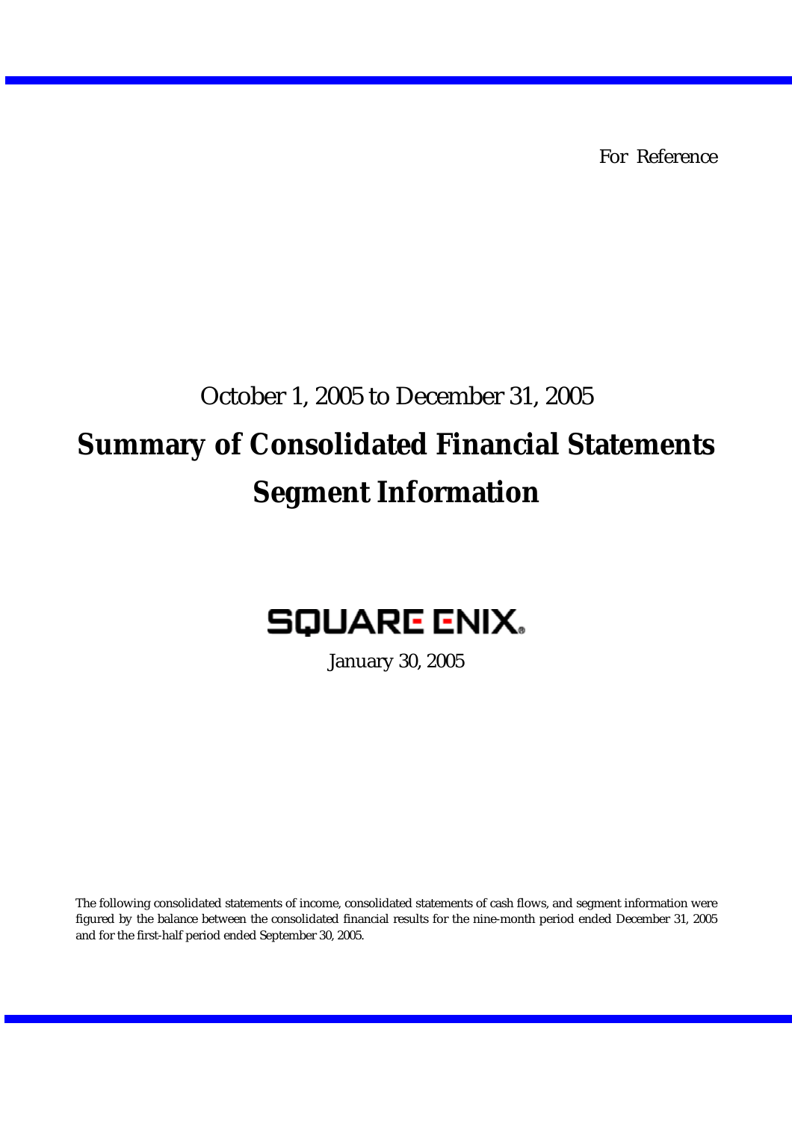For Reference

# October 1, 2005 to December 31, 2005 **Summary of Consolidated Financial Statements Segment Information**

# **SQUARE ENIX.**

January 30, 2005

The following consolidated statements of income, consolidated statements of cash flows, and segment information were figured by the balance between the consolidated financial results for the nine-month period ended December 31, 2005 and for the first-half period ended September 30, 2005.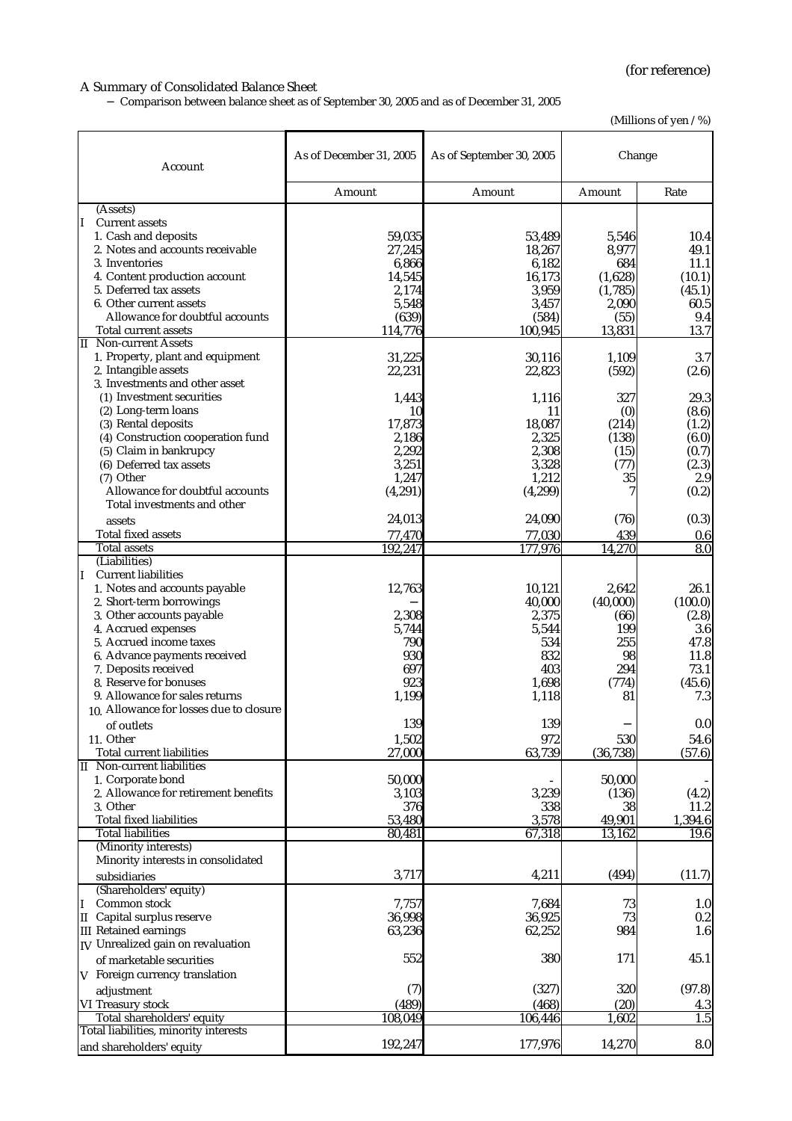#### A Summary of Consolidated Balance Sheet

Comparison between balance sheet as of September 30, 2005 and as of December 31, 2005

(Millions of yen / %)

| Account                                                                   | As of December 31, 2005 | As of September 30, 2005 | Change           |                  |  |
|---------------------------------------------------------------------------|-------------------------|--------------------------|------------------|------------------|--|
|                                                                           | Amount                  | Amount                   | Amount           | Rate             |  |
| (Assets)                                                                  |                         |                          |                  |                  |  |
| II.<br><b>Current assets</b>                                              |                         |                          |                  |                  |  |
| 1. Cash and deposits<br>2. Notes and accounts receivable                  | 59,035<br>27,245        | 53,489<br>18,267         | 5,546<br>8,977   | 10.4<br>49.1     |  |
| 3. Inventories                                                            | 6,866                   | 6,182                    | 684              | 11.1             |  |
| 4. Content production account                                             | 14,545                  | 16,173                   | (1,628)          | (10.1)           |  |
| 5. Deferred tax assets                                                    | 2,174                   | 3,959                    | (1,785)          | (45.1)           |  |
| 6. Other current assets<br>Allowance for doubtful accounts                | 5,548                   | 3,457                    | 2,090            | 60.5             |  |
| Total current assets                                                      | (639)<br>114,776        | (584)<br>100,945         | (55)<br>13,831   | 9.4<br>13.7      |  |
| <b>II</b> Non-current Assets                                              |                         |                          |                  |                  |  |
| 1. Property, plant and equipment                                          | 31,225                  | 30,116                   | 1,109            | 3.7              |  |
| 2. Intangible assets                                                      | 22,231                  | 22,823                   | (592)            | (2.6)            |  |
| 3. Investments and other asset<br>(1) Investment securities               |                         |                          |                  |                  |  |
| (2) Long-term loans                                                       | 1,443<br>10             | 1,116<br>11              | 327<br>(0)       | 29.3<br>(8.6)    |  |
| (3) Rental deposits                                                       | 17,873                  | 18,087                   | (214)            | (1.2)            |  |
| (4) Construction cooperation fund                                         | 2,186                   | 2,325                    | (138)            | (6.0)            |  |
| (5) Claim in bankrupcy                                                    | 2,292                   | 2,308                    | (15)             | (0.7)            |  |
| (6) Deferred tax assets                                                   | 3,251                   | 3,328                    | (77)             | (2.3)            |  |
| (7) Other                                                                 | 1,247                   | 1,212                    | 35               | 2.9              |  |
| Allowance for doubtful accounts<br>Total investments and other            | (4, 291)                | (4,299)                  | 7                | (0.2)            |  |
| assets                                                                    | 24,013                  | 24,090                   | (76)             | (0.3)            |  |
| <b>Total fixed assets</b>                                                 | 77,470                  | 77,030                   | 439              | 0.6              |  |
| <b>Total assets</b>                                                       | 192,247                 | 177,976                  | 14,270           | 8.0              |  |
| (Liabilities)                                                             |                         |                          |                  |                  |  |
| <b>Current liabilities</b><br>II                                          |                         |                          |                  |                  |  |
| 1. Notes and accounts payable                                             | 12,763                  | 10,121                   | 2,642            | 26.1             |  |
| 2. Short-term borrowings<br>3. Other accounts payable                     | 2,308                   | 40,000<br>2,375          | (40,000)<br>(66) | (100.0)<br>(2.8) |  |
| 4. Accrued expenses                                                       | 5,744                   | 5,544                    | 199              | 3.6              |  |
| 5. Accrued income taxes                                                   | 790                     | 534                      | 255              | 47.8             |  |
| 6. Advance payments received                                              | 930                     | 832                      | 98               | 11.8             |  |
| 7. Deposits received                                                      | 697                     | 403                      | 294              | 73.1             |  |
| 8. Reserve for bonuses                                                    | 923                     | 1,698                    | (774)            | (45.6)           |  |
| 9. Allowance for sales returns<br>10. Allowance for losses due to closure | 1,199                   | 1,118                    | 81               | 7.3              |  |
| of outlets                                                                | 139                     | 139                      |                  | 0.0              |  |
| 11. Other                                                                 | 1,502                   | 972                      | 530              | 54.6             |  |
| Total current liabilities                                                 | 27,000                  | 63,739                   | (36, 738)        | (57.6)           |  |
| <b>II</b> Non-current liabilities                                         |                         |                          |                  |                  |  |
| 1. Corporate bond                                                         | 50,000                  |                          | 50,000           |                  |  |
| 2. Allowance for retirement benefits<br>3. Other                          | 3,103                   | 3,239                    | (136)            | (4.2)            |  |
| <b>Total fixed liabilities</b>                                            | 376<br>53,480           | 338<br>3,578             | 38<br>49,901     | 11.2<br>1,394.6  |  |
| <b>Total liabilities</b>                                                  | 80,481                  | 67,318                   | 13,162           | 19.6             |  |
| (Minority interests)                                                      |                         |                          |                  |                  |  |
| Minority interests in consolidated                                        |                         |                          |                  |                  |  |
| subsidiaries                                                              | 3,717                   | 4,211                    | (494)            | (11.7)           |  |
| (Shareholders' equity)                                                    |                         |                          |                  |                  |  |
| Common stock<br>I                                                         | 7,757                   | 7,684                    | 73               | 1.0              |  |
| II Capital surplus reserve<br><b>III</b> Retained earnings                | 36,998<br>63,236        | 36,925<br>62,252         | 73<br>984        | 0.2<br>1.6       |  |
| IV Unrealized gain on revaluation                                         |                         |                          |                  |                  |  |
| of marketable securities                                                  | 552                     | 380                      | 171              | 45.1             |  |
| V Foreign currency translation                                            |                         |                          |                  |                  |  |
| adjustment                                                                | (7)                     | (327)                    | 320              | (97.8)           |  |
| VI Treasury stock                                                         | (489)                   | (468)                    | (20)             | 4.3              |  |
| Total shareholders' equity                                                | 108,049                 | 106,446                  | ,602             | 1.5              |  |
| Total liabilities, minority interests                                     |                         |                          |                  |                  |  |
| and shareholders' equity                                                  | 192,247                 | 177,976                  | 14,270           | 8.0              |  |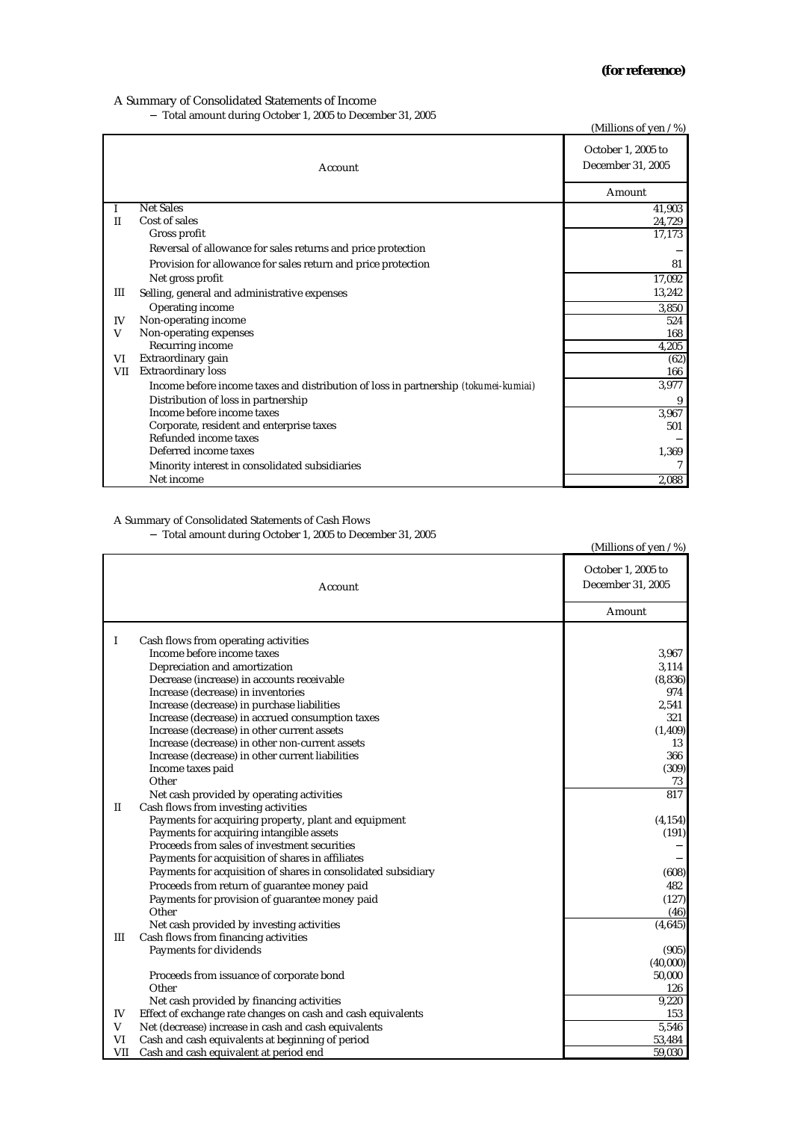#### A Summary of Consolidated Statements of Income

Total amount during October 1, 2005 to December 31, 2005

|            |                                                                                            | (Millions of yen / %)                   |
|------------|--------------------------------------------------------------------------------------------|-----------------------------------------|
|            | Account                                                                                    | October 1, 2005 to<br>December 31, 2005 |
|            |                                                                                            | Amount                                  |
| -1         | <b>Net Sales</b>                                                                           | 41,903                                  |
| H          | Cost of sales                                                                              | 24,729                                  |
|            | Gross profit                                                                               | 17,173                                  |
|            | Reversal of allowance for sales returns and price protection                               |                                         |
|            | Provision for allowance for sales return and price protection                              | 81                                      |
|            | Net gross profit                                                                           | 17,092                                  |
| Ш          | Selling, general and administrative expenses                                               | 13,242                                  |
|            | Operating income                                                                           | 3,850                                   |
| IV         | Non-operating income                                                                       | 524                                     |
| V          | Non-operating expenses                                                                     | 168                                     |
|            | Recurring income                                                                           | 4,205                                   |
| VI         | Extraordinary gain                                                                         | (62)                                    |
| <b>VII</b> | <b>Extraordinary loss</b>                                                                  | 166                                     |
|            | Income before income taxes and distribution of loss in partnership <i>(tokumei-kumiai)</i> | 3,977                                   |
|            | Distribution of loss in partnership                                                        | 9                                       |
|            | Income before income taxes                                                                 | 3,967                                   |
|            | Corporate, resident and enterprise taxes                                                   | 501                                     |
|            | Refunded income taxes                                                                      |                                         |
|            | Deferred income taxes                                                                      | 1,369                                   |
|            | Minority interest in consolidated subsidiaries                                             |                                         |
|            | Net income                                                                                 | 2,088                                   |

### A Summary of Consolidated Statements of Cash Flows

Total amount during October 1, 2005 to December 31, 2005

|              | Total amount during October 1, 2005 to December 31, 2005      | (Millions of yen / %) |
|--------------|---------------------------------------------------------------|-----------------------|
|              |                                                               | October 1, 2005 to    |
|              | Account                                                       | December 31, 2005     |
|              |                                                               | Amount                |
|              |                                                               |                       |
| I            | Cash flows from operating activities                          |                       |
|              | Income before income taxes                                    | 3,967                 |
|              | Depreciation and amortization                                 | 3,114                 |
|              | Decrease (increase) in accounts receivable                    | (8, 836)              |
|              | Increase (decrease) in inventories                            | 974                   |
|              | Increase (decrease) in purchase liabilities                   | 2,541                 |
|              | Increase (decrease) in accrued consumption taxes              | 321                   |
|              | Increase (decrease) in other current assets                   | (1, 409)              |
|              | Increase (decrease) in other non-current assets               | 13                    |
|              | Increase (decrease) in other current liabilities              | 366                   |
|              | Income taxes paid                                             | (309)                 |
|              | Other                                                         | 73                    |
|              | Net cash provided by operating activities                     | 817                   |
| $\mathbf{I}$ | Cash flows from investing activities                          |                       |
|              | Payments for acquiring property, plant and equipment          | (4, 154)              |
|              | Payments for acquiring intangible assets                      | (191)                 |
|              | Proceeds from sales of investment securities                  |                       |
|              | Payments for acquisition of shares in affiliates              |                       |
|              | Payments for acquisition of shares in consolidated subsidiary | (608)                 |
|              | Proceeds from return of guarantee money paid                  | 482                   |
|              | Payments for provision of guarantee money paid                | (127)                 |
|              | Other                                                         | (46)                  |
|              | Net cash provided by investing activities                     | (4,645)               |
| Ш            | Cash flows from financing activities                          |                       |
|              | Payments for dividends                                        | (905)                 |
|              |                                                               | (40,000)              |
|              | Proceeds from issuance of corporate bond                      | 50,000                |
|              | Other                                                         | 126                   |
|              | Net cash provided by financing activities                     | 9,220                 |
| IV           | Effect of exchange rate changes on cash and cash equivalents  | 153                   |
| V            | Net (decrease) increase in cash and cash equivalents          | 5,546                 |
| VI           | Cash and cash equivalents at beginning of period              | 53,484                |
| <b>VII</b>   | Cash and cash equivalent at period end                        | 59,030                |